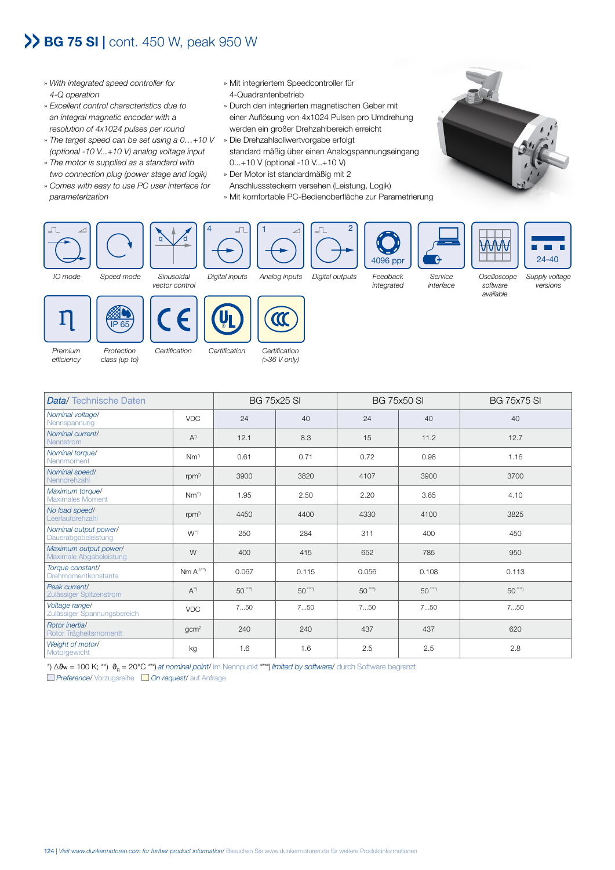## >> BG 75 SI | cont. 450 W, peak 950 W

- » *With integrated speed controller for 4-Q operation*
- » *Excellent control characteristics due to an integral magnetic encoder with a resolution of 4x1024 pulses per round*
- » *The target speed can be set using a 0…+10 V*  » Die Drehzahlsollwertvorgabe erfolgt *(optional -10 V...+10 V) analog voltage input*
- » *The motor is supplied as a standard with two connection plug (power stage and logik)*
- » *Comes with easy to use PC user interface for parameterization*
- » Mit integriertem Speedcontroller für 4-Quadrantenbetrieb
- » Durch den integrierten magnetischen Geber mit einer Auflösung von 4x1024 Pulsen pro Umdrehung werden ein großer Drehzahlbereich erreicht
- standard mäßig über einen Analogspannungseingang 0...+10 V (optional -10 V...+10 V)
- » Der Motor ist standardmäßig mit 2
- Anschlusssteckern versehen (Leistung, Logik)
- » Mit komfortable PC-Bedienoberfläche zur Parametrierung













*(>36 V only)*

| <b>Data/</b> Technische Daten                    |                    | <b>BG 75x25 SI</b> |           | <b>BG 75x50 SI</b> |           | <b>BG 75x75 SI</b> |
|--------------------------------------------------|--------------------|--------------------|-----------|--------------------|-----------|--------------------|
| Nominal voltage/<br>Nennspannung                 | <b>VDC</b>         | 24                 | 40        | 24                 | 40        | 40                 |
| Nominal current/<br><b>Nennstrom</b>             | $A^{\eta}$         | 12.1               | 8.3       | 15                 | 11.2      | 12.7               |
| Nominal torque/<br>Nennmoment                    | $Nm^{\gamma}$      | 0.61               | 0.71      | 0.72               | 0.98      | 1.16               |
| Nominal speed/<br>Nenndrehzahl                   | rpm <sup>*</sup>   | 3900               | 3820      | 4107               | 3900      | 3700               |
| Maximum torque/<br><b>Maximales Moment</b>       | Nm <sup>")</sup>   | 1.95               | 2.50      | 2.20               | 3.65      | 4.10               |
| No load speed/<br>Leerlaufdrehzahl               | rpm <sup>*</sup>   | 4450               | 4400      | 4330               | 4100      | 3825               |
| Nominal output power/<br>Dauerabgabeleistung     | $W^{\prime\prime}$ | 250                | 284       | 311                | 400       | 450                |
| Maximum output power/<br>Maximale Abgabeleistung | W                  | 400                | 415       | 652                | 785       | 950                |
| Torque constant/<br><b>Drehmomentkonstante</b>   | $Nm A^{-1^{**}}$   | 0.067              | 0.115     | 0.056              | 0.108     | 0.113              |
| Peak current/<br>Zulässiger Spitzenstrom         | $A^{\prime\prime}$ | $50^{***}$         | $50$ ***) | $50^{***}$         | $50$ ***) | $50^{***}$         |
| Voltage range/<br>Zulässiger Spannungsbereich    | <b>VDC</b>         | 750                | 750       | 750                | 750       | 750                |
| Rotor inertia/<br>Rotor Trägheitsmomentt         | gcm <sup>2</sup>   | 240                | 240       | 437                | 437       | 620                |
| Weight of motor/<br>Motorgewicht                 | kg                 | 1.6                | 1.6       | 2.5                | 2.5       | 2.8                |

\*) ∆ϑw = 100 K; \*\*) ϑR = 20°C \*\*\*) *at nominal point*/ im Nennpunkt \*\*\*\*) *limited by software*/ durch Software begrenzt *Preference*/ Vorzugsreihe *On request*/ auf Anfrage